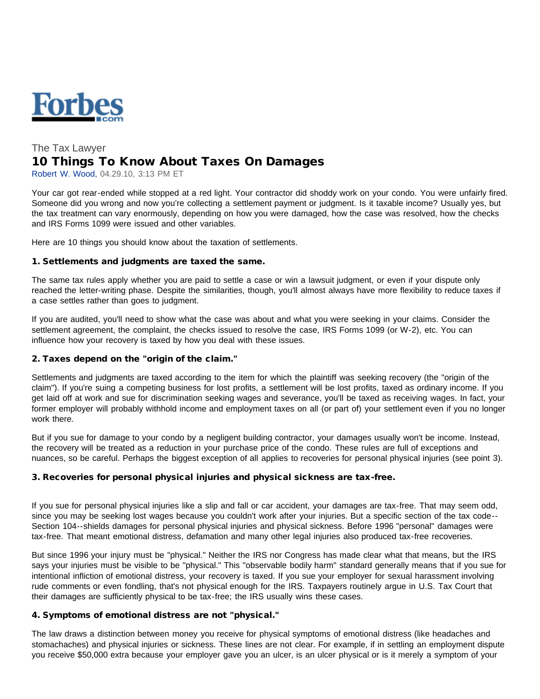

# The Tax Lawyer 10 Things To Know About Taxes On Damages

Robert W. Wood, 04.29.10, 3:13 PM ET

Your car got rear-ended while stopped at a red light. Your contractor did shoddy work on your condo. You were unfairly fired. Someone did you wrong and now you're collecting a settlement payment or judgment. Is it taxable income? Usually yes, but the tax treatment can vary enormously, depending on how you were damaged, how the case was resolved, how the checks and IRS Forms 1099 were issued and other variables.

Here are 10 things you should know about the taxation of settlements.

#### 1. Settlements and judgments are taxed the same.

The same tax rules apply whether you are paid to settle a case or win a lawsuit judgment, or even if your dispute only reached the letter-writing phase. Despite the similarities, though, you'll almost always have more flexibility to reduce taxes if a case settles rather than goes to judgment.

If you are audited, you'll need to show what the case was about and what you were seeking in your claims. Consider the settlement agreement, the complaint, the checks issued to resolve the case, IRS Forms 1099 (or W-2), etc. You can influence how your recovery is taxed by how you deal with these issues.

## 2. Taxes depend on the "origin of the claim."

Settlements and judgments are taxed according to the item for which the plaintiff was seeking recovery (the "origin of the claim"). If you're suing a competing business for lost profits, a settlement will be lost profits, taxed as ordinary income. If you get laid off at work and sue for discrimination seeking wages and severance, you'll be taxed as receiving wages. In fact, your former employer will probably withhold income and employment taxes on all (or part of) your settlement even if you no longer work there.

But if you sue for damage to your condo by a negligent building contractor, your damages usually won't be income. Instead, the recovery will be treated as a reduction in your purchase price of the condo. These rules are full of exceptions and nuances, so be careful. Perhaps the biggest exception of all applies to recoveries for personal physical injuries (see point 3).

## 3. Recoveries for personal physical injuries and physical sickness are tax-free.

If you sue for personal physical injuries like a slip and fall or car accident, your damages are tax-free. That may seem odd, since you may be seeking lost wages because you couldn't work after your injuries. But a specific section of the tax code-- Section 104--shields damages for personal physical injuries and physical sickness. Before 1996 "personal" damages were tax-free. That meant emotional distress, defamation and many other legal injuries also produced tax-free recoveries.

But since 1996 your injury must be "physical." Neither the IRS nor Congress has made clear what that means, but the IRS says your injuries must be visible to be "physical." This "observable bodily harm" standard generally means that if you sue for intentional infliction of emotional distress, your recovery is taxed. If you sue your employer for sexual harassment involving rude comments or even fondling, that's not physical enough for the IRS. Taxpayers routinely argue in U.S. Tax Court that their damages are sufficiently physical to be tax-free; the IRS usually wins these cases.

#### 4. Symptoms of emotional distress are not "physical."

The law draws a distinction between money you receive for physical symptoms of emotional distress (like headaches and stomachaches) and physical injuries or sickness. These lines are not clear. For example, if in settling an employment dispute you receive \$50,000 extra because your employer gave you an ulcer, is an ulcer physical or is it merely a symptom of your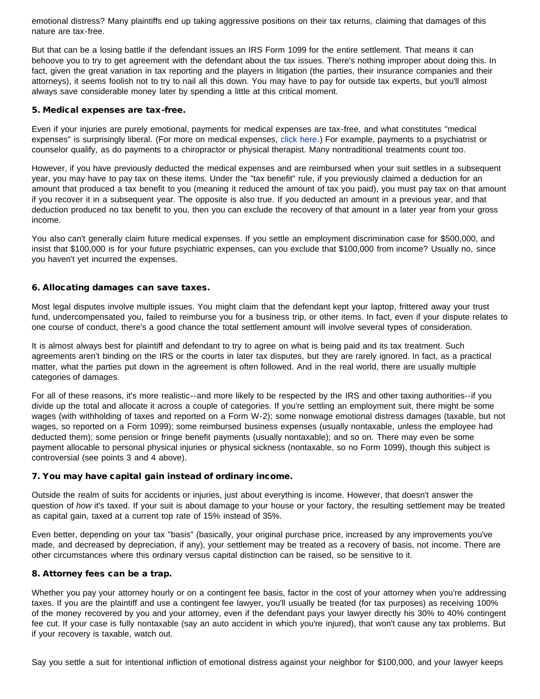emotional distress? Many plaintiffs end up taking aggressive positions on their tax returns, claiming that damages of this nature are tax-free.

But that can be a losing battle if the defendant issues an IRS Form 1099 for the entire settlement. That means it can behoove you to try to get agreement with the defendant about the tax issues. There's nothing improper about doing this. In fact, given the great variation in tax reporting and the players in litigation (the parties, their insurance companies and their attorneys), it seems foolish not to try to nail all this down. You may have to pay for outside tax experts, but you'll almost always save considerable money later by spending a little at this critical moment.

#### 5. Medical expenses are tax-free.

Even if your injuries are purely emotional, payments for medical expenses are tax-free, and what constitutes "medical expenses" is surprisingly liberal. (For more on medical expenses, click here.) For example, payments to a psychiatrist or counselor qualify, as do payments to a chiropractor or physical therapist. Many nontraditional treatments count too.

However, if you have previously deducted the medical expenses and are reimbursed when your suit settles in a subsequent year, you may have to pay tax on these items. Under the "tax benefit" rule, if you previously claimed a deduction for an amount that produced a tax benefit to you (meaning it reduced the amount of tax you paid), you must pay tax on that amount if you recover it in a subsequent year. The opposite is also true. If you deducted an amount in a previous year, and that deduction produced no tax benefit to you, then you can exclude the recovery of that amount in a later year from your gross income.

You also can't generally claim future medical expenses. If you settle an employment discrimination case for \$500,000, and insist that \$100,000 is for your future psychiatric expenses, can you exclude that \$100,000 from income? Usually no, since you haven't yet incurred the expenses.

#### 6. Allocating damages can save taxes.

Most legal disputes involve multiple issues. You might claim that the defendant kept your laptop, frittered away your trust fund, undercompensated you, failed to reimburse you for a business trip, or other items. In fact, even if your dispute relates to one course of conduct, there's a good chance the total settlement amount will involve several types of consideration.

It is almost always best for plaintiff and defendant to try to agree on what is being paid and its tax treatment. Such agreements aren't binding on the IRS or the courts in later tax disputes, but they are rarely ignored. In fact, as a practical matter, what the parties put down in the agreement is often followed. And in the real world, there are usually multiple categories of damages.

For all of these reasons, it's more realistic--and more likely to be respected by the IRS and other taxing authorities--if you divide up the total and allocate it across a couple of categories. If you're settling an employment suit, there might be some wages (with withholding of taxes and reported on a Form W-2); some nonwage emotional distress damages (taxable, but not wages, so reported on a Form 1099); some reimbursed business expenses (usually nontaxable, unless the employee had deducted them); some pension or fringe benefit payments (usually nontaxable); and so on. There may even be some payment allocable to personal physical injuries or physical sickness (nontaxable, so no Form 1099), though this subject is controversial (see points 3 and 4 above).

## 7. You may have capital gain instead of ordinary income.

Outside the realm of suits for accidents or injuries, just about everything is income. However, that doesn't answer the question of *how* it's taxed. If your suit is about damage to your house or your factory, the resulting settlement may be treated as capital gain, taxed at a current top rate of 15% instead of 35%.

Even better, depending on your tax "basis" (basically, your original purchase price, increased by any improvements you've made, and decreased by depreciation, if any), your settlement may be treated as a recovery of basis, not income. There are other circumstances where this ordinary versus capital distinction can be raised, so be sensitive to it.

## 8. Attorney fees can be a trap.

Whether you pay your attorney hourly or on a contingent fee basis, factor in the cost of your attorney when you're addressing taxes. If you are the plaintiff and use a contingent fee lawyer, you'll usually be treated (for tax purposes) as receiving 100% of the money recovered by you and your attorney, even if the defendant pays your lawyer directly his 30% to 40% contingent fee cut. If your case is fully nontaxable (say an auto accident in which you're injured), that won't cause any tax problems. But if your recovery is taxable, watch out.

Say you settle a suit for intentional infliction of emotional distress against your neighbor for \$100,000, and your lawyer keeps